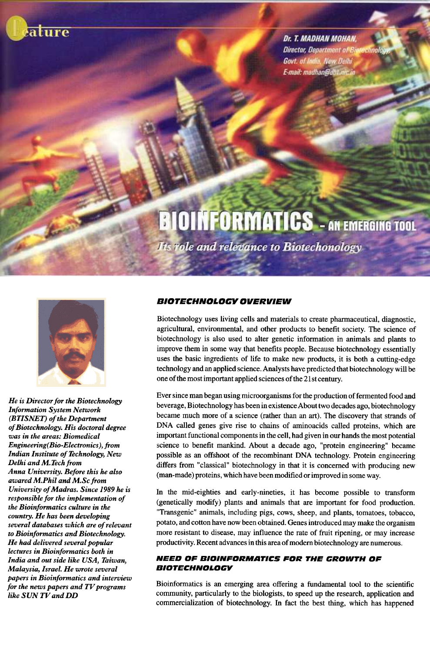

Dr. T. MADHAN MOHAN, Director, Department of Big Govt. of India, New Delhi E-mail: madhan@dht.nic.in

# **BIOINFORMATICS** - AN EMERGING TOOL

**Its role and relevance to Biotechonology** 



He is Director for the Biotechnology Information System Network (BTISNET) of the Department of Biotechnology. His doctoral degree was in the areas: Biomedical Engineering( Bio-Electronics), from Indian Institute of Technology, New Delhi and M. Tech from Anna University. Before this he also awared M.Phil and M.Sc from University of Madras. Since 1989 he is responsible for the implementation of the Bioinformatics culture in the country. He has been developing several databases which are of relevant to Bioinformatics and Biotechnology. He had delivered several popular lectures in Bioinformatics both in India and out side like USA, Taiwan, Malaysia, Israel. He wrote several papers in Bioinformatics and interview for the news papers and TV programs like SUN TV and DD

# BIOTECHNOLOGY OVERVIEW

Biotechnology uses living cells and materials to create pharmaceutical, diagnostic, agricultural, environmental, and other products to benefit society. The science of biotechnology is also used to alter genetic information in animals and plants to improve them in some way that benefits people. Because biotechnology essentially uses the basic ingredients of life to make new products, it is both a cutting-edge technology and an applied science. Analysts have predicted that biotechnology will be one of the most important applied sciences of the 21 st century.

Ever since man began using microorganisms for the production of fermented food and beverage, Biotechnology has been in existence About two decades ago, biotechnology became much more of a science (rather than an art). The discovery that strands of DNA called genes give rise to chains of aminoacids called proteins, which are important functional components in the cell, had given in our hands the most potential science to benefit mankind. About a decade ago, "protein engineering" became possible as an offshoot of the recombinant DNA technology. Protein engineering differs from "classical" biotechnology in that it is concerned with producing new (man-made) proteins, which have been modified or improved in some way.

In the mid-eighties and early-nineties, it has become possible to transform (genetically modify) plants and animals that are important for food production. "Transgenic" animals, including pigs, cows, sheep, and plants, tomatoes, tobacco, potato, and cotton have now been obtained. Genes introduced may make the organism more resistant to disease, may influence the rate of fruit ripening, or may increase productivity. Recent advances in this area of modem biotechnology are numerous.

# NEED OF BIOINFORMATICS FOR THE GROWTH OF BIOTECHNOLOGY

Bioinformatics is an emerging area offering a fundamental tool to the scientific community, particularly to the biologists, to speed up the research, application and commercialization of biotechnology. In fact the best thing, which has happened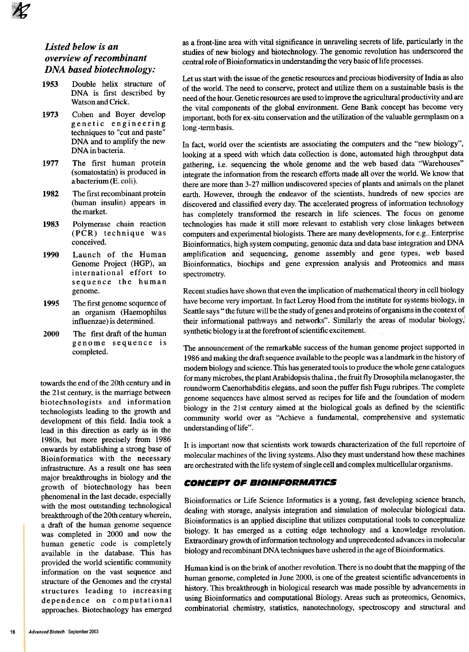# Listed below is an overview of recombinant DNA based biotechnology:

- 1953 Double helix structure of DNA is first described by Watson and Crick.
- 1973 Cohen and Boyer develop genetic engineering techniques to "cut and paste" DNA and to amplify the new DNA in bacteria.
- 1977 The first human protein (somatostatin) is produced in a bacterium (E. coli).
- 1982 The first recombinant protein (human insulin) appears in the market.
- 1983 Polymerase chain reaction (PCR) technique was conceived.
- 1990 Launch of the Human Genome Project (HGP), an international effort to sequence the human genome.
- 1995 The first genome sequence of an organism (Haemophilus influenzae) is determined.
- 2000 The first draft of the human genome sequence is completed.

towards the end of the 20th century and in the 21st century, is the marriage between biotechnologists and information technologists leading to the growth and development of this field. India took a lead in this direction as early as in the 1980s, but more precisely from 1986 onwards by establishing a strong base of Bioinformatics with the necessary infrastructure. As a result one has seen major breakthroughs in biology and the growth of biotechnology has been phenomenal in the last decade, especially with the most outstanding technological breakthrough of the 20th century wherein, a draft of the human genome sequence was completed in 2000 and now the human genetic code is completely available in the database. This has provided the world scientific community information on the vast sequence and structure of the Genomes and the crystal structures leading to increasing dependence on computational approaches. Biotechnology has emerged as a front-line area with vital significance in unraveling secrets of life, particularly in the studies of new biology and biotechnology. The genomic revolution has underscored the central role of Bioinformatics in understanding the very basic of life processes.

Let us start with the issue of the genetic resources and precious biodiversity of India as also of the world. The need to conserve, protect and utilize them on a sustainable basis is the need of the hour. Genetic resources are used to improve the agricultural productivity and are the vital components of the global environment. Gene Bank concept has become very important, both for ex -situ conservation and the utilization of the valuable germplasm on a long -term basis.

In fact, world over the scientists are associating the computers and the "new biology", looking at a speed with which data collection is done, automated high throughput data gathering, i.e. sequencing the whole genome and the web based data "Warehouses" integrate the information from the research efforts made all over the world. We know that there are more than 3-27 million undiscovered species of plants and animals on the planet earth. However, through the endeavor of the scientists, hundreds of new species are discovered and classified every day. The accelerated progress of information technology has completely transformed the research in life sciences. The focus on genome technologies has made it still more relevant to establish very close linkages between computers and experimental biologists. There are many developments, for e.g.. Enterprise Bioinformatics, high system computing, genomic data and data base integration and DNA amplification and sequencing, genome assembly and gene types, web based Bioinformatics, biochips and gene expression analysis and Proteomics and mass spectrometry.

Recent studies have shown that even the implication of mathematical theory in cell biology have become very important. In fact Leroy Hood from the institute for systems biology, in Seattle says " the future will be the study of genes and proteins of organisms in the context of their informational pathways and networks". Similarly the areas of modular biology; synthetic biology is at the forefront of scientific excitement.

The announcement of the remarkable success of the human genome project supported in 1986 and making the draft sequence available to the people was a landmark in the history of modem biology and science. This has generated tools to produce the whole gene catalogues for many microbes, the plant Arabidopsis thalina, the fruit fly Drosophila melanogaster, the roundworm Caenorhabditis elegans, and soon the puffer fish Fugu rubripes. The complete genome sequences have almost served as recipes for life and the foundation of modem biology in the 21st century aimed at the biological goals as defined by the scientific community world over as "Achieve a fundamental, comprehensive and systematic understanding of life".

It is important now that scientists work towards characterization of the full repertoire of molecular machines of the living systems. Also they must understand how these machines are orchestrated with the life system of single cell and complex multicellular organisms.

### **CONCEPT OF BIOINFORMATICS**

Bioinformatics or Life Science Informatics is a young, fast developing science branch, dealing with storage, analysis integration and simulation of molecular biological data. Bioinformatics is an applied discipline that utilizes computational tools to conceptualize biology. It has emerged as a cutting edge technology and a knowledge revolution. Extraordinary growth of information technology and unprecedented advances in molecular biology and recombinant DNA techniques have ushered in the age of Bioinformatics.

Human kind is on the brink of another revolution. There is no doubt that the mapping of the human genome, completed in June 2000, is one of the greatest scientific advancements in history. This breakthrough in biological research was made possible by advancements in using Bioinformatics and computational Biology. Areas such as proteomics, Genomics, combinatorial chemistry, statistics, nanotechnology, spectroscopy and structural and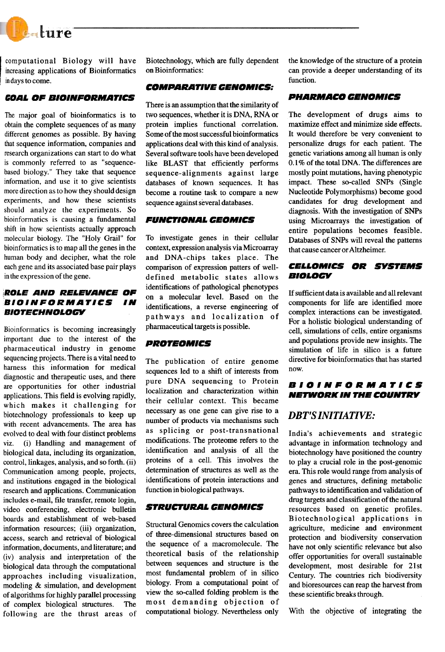

computational Biology will have increasing applications of Bioinformatics, in days to come.

### COAL OF BIOINFORMATICS COAL CORRECTED BELOW PHARMACO CENOMICS

The major goal of bioinformatics is to obtain the complete sequences of as many different genomes as possible. By having that sequence information, companies and research organizations can start to do what is commonly referred to as "sequencebased biology," They take that sequence information, and use it to give scientists more direction as to how they should design experiments, and how these scientists should analyze the experiments. So bioinformatics is causing a fundamental shift in how scientists actually approach molecular biology. The "Holy Grail" for bioinformatics is to map all the genes in the human body and decipher, what the role each gene and its associated base pair plays in the expression of the gene.

# ROLE AND RELEVANCE OF BIOINFORMATICS IN **BIOTECHNOLOGY**

Bioinformatics is becoming increasingly important due to the interest of the pharmaceutical industry in genome sequencing projects. There is a vital need to harness this information for medical diagnostic and therapeutic uses, and there are opportunities for other industrial applications. This field is evolving rapidly, which makes it challenging for biotechnology professionals to keep up with recent advancements. The area has evolved to deal with four distinct problems viz. (i) Handling and management of biological data, including its organization, control, linkages, analysis, and so forth. (ii) Communication among people, projects, and institutions engaged in the biological research and applications. Communication includes e-mail, file transfer, remote login, video conferencing, electronic bulletin boards and establishment of web-based information resources; (iii) organization, access, search and retrieval of biological information, documents, and literature; and (iv) analysis and interpretation of the biological data through the computational approaches including visualization, modeling & simulation, and development of algorithms for highly parallel processing of complex biological structures. The following are the thrust areas of squencing loyotes. Interest and antending The publication of entire genomes and the publication of entire genomes and the equinosity are opportunities for other industrial pure DNA sequencing to Protein applications. This

Biotechnology, which are fully dependent on Bioinformatics:

### COMPARATIVE GENOMICS:

There is an assumption that the similarity of two sequences, whether it is DNA, RNA or protein implies functional correlation. Some of the most successful bioinformatics applications deal with this kind of analysis. Several software tools have been developed like BLAST that efficiently performs sequence-alignments against large databases of known sequences. It has become a routine task to compare a new sequence against several databases.

### FUNCTIONAL GEOMICS

To investigate genes in their cellular context, expression analysis via Microarray and DNA-chips takes place. The comparison of expression patters of welldefined metabolic states allows identifications of pathological phenotypes on a molecular level. Based on the identifications, a reverse engineering of pathways and localization of pharmaceutical targets is possible.

### **PROTEOMICS**

sequences led to a shift of interests from pure DNA sequencing to Protein localization and characterization within their cellular context. This became necessary as one gene can give rise to a number of products via mechanisms such as splicing or post-transnational modifications. The proteome refers to the identification and analysis of all the proteins of a cell. This involves the determination of structures as well as the identifications of protein interactions and function in biological pathways.

### **STRUCTURAL GENOMICS**

Structural Genomics covers the calculation of three-dimensional structures based on the sequence of a macromolecule. The theoretical basis of the relationship between sequences and structure is the most fundamental problem of in silico biology. From a computational point of view the so-called folding problem is the most demanding objection of computational biology. Nevertheless only With the objective of integrating the

the knowledge of the structure of a protein can provide a deeper understanding of its function.

The development of drugs aims to maximize effect and minimize side effects. It would therefore be very convenient to personalize drugs for each patient. The genetic variations among all human is only 0.1 % of the total DNA. The differences are mostly point mutations, having phenotypic impact. These so-called SNPs (Single Nucleotide Polymorphisms) become good candidates for drug development and diagnosis. With the investigation of SNPs using Microarrays the investigation of entire populations becomes feasible. Databases of SNPs will reveal the patterns that cause cancer or Altzheimer.

### CELLOMICS OI BIOLOGY

If sufficient data is available and all relevant components for life are identified more complex interactions can be investigated. For a holistic biological understanding of cell, simulations of cells, entire organisms and populations provide new insights. The simulation of life in silico is a future directive for bioinformatics that has started now.

### BIOINFORMATICS **NETWORK IN THE COUNTRY**

# DBT'S INITIATIVE:

India's achievements and strategic advantage in information technology and biotechnology have positioned the country to playa crucial role in the post-genomic era. This role would range from analysis of genes and structures, defining metabolic pathways to identification and validation of drug targets and classification of the natural resources based on genetic profiles. Biotechnological applications in agriculture, medicine and environment protection and biodiversity conservation have not only scientific relevance but also offer opportunities for overall sustainable development, most desirable for 21st Century. The countries rich biodiversity and bioresources can reap the harvest from these scientific breaks through.